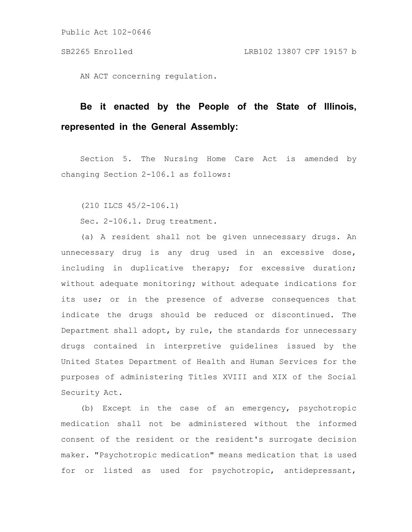AN ACT concerning regulation.

## **Be it enacted by the People of the State of Illinois, represented in the General Assembly:**

Section 5. The Nursing Home Care Act is amended by changing Section 2-106.1 as follows:

(210 ILCS 45/2-106.1)

Sec. 2-106.1. Drug treatment.

(a) A resident shall not be given unnecessary drugs. An unnecessary drug is any drug used in an excessive dose, including in duplicative therapy; for excessive duration; without adequate monitoring; without adequate indications for its use; or in the presence of adverse consequences that indicate the drugs should be reduced or discontinued. The Department shall adopt, by rule, the standards for unnecessary drugs contained in interpretive guidelines issued by the United States Department of Health and Human Services for the purposes of administering Titles XVIII and XIX of the Social Security Act.

(b) Except in the case of an emergency, psychotropic medication shall not be administered without the informed consent of the resident or the resident's surrogate decision maker. "Psychotropic medication" means medication that is used for or listed as used for psychotropic, antidepressant,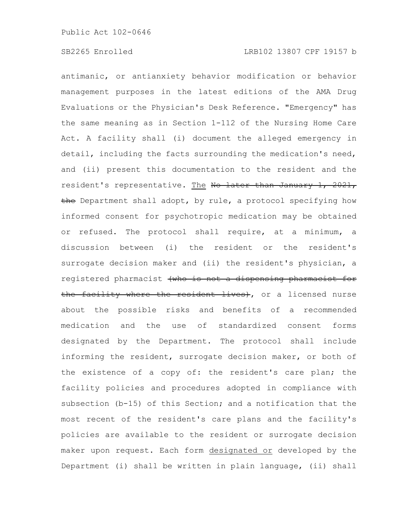antimanic, or antianxiety behavior modification or behavior management purposes in the latest editions of the AMA Drug Evaluations or the Physician's Desk Reference. "Emergency" has the same meaning as in Section 1-112 of the Nursing Home Care Act. A facility shall (i) document the alleged emergency in detail, including the facts surrounding the medication's need, and (ii) present this documentation to the resident and the resident's representative. The No later than January 1, 2021, the Department shall adopt, by rule, a protocol specifying how informed consent for psychotropic medication may be obtained or refused. The protocol shall require, at a minimum, a discussion between (i) the resident or the resident's surrogate decision maker and (ii) the resident's physician, a registered pharmacist (who is not a dispensing pharmacist for the facility where the resident lives), or a licensed nurse about the possible risks and benefits of a recommended medication and the use of standardized consent forms designated by the Department. The protocol shall include informing the resident, surrogate decision maker, or both of the existence of a copy of: the resident's care plan; the facility policies and procedures adopted in compliance with subsection (b-15) of this Section; and a notification that the most recent of the resident's care plans and the facility's policies are available to the resident or surrogate decision maker upon request. Each form designated or developed by the Department (i) shall be written in plain language, (ii) shall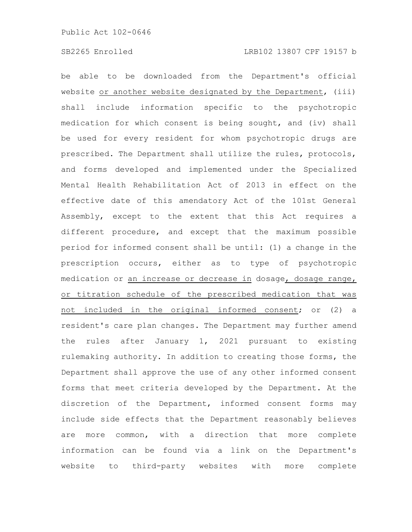be able to be downloaded from the Department's official website or another website designated by the Department, (iii) shall include information specific to the psychotropic medication for which consent is being sought, and (iv) shall be used for every resident for whom psychotropic drugs are prescribed. The Department shall utilize the rules, protocols, and forms developed and implemented under the Specialized Mental Health Rehabilitation Act of 2013 in effect on the effective date of this amendatory Act of the 101st General Assembly, except to the extent that this Act requires a different procedure, and except that the maximum possible period for informed consent shall be until: (1) a change in the prescription occurs, either as to type of psychotropic medication or an increase or decrease in dosage, dosage range, or titration schedule of the prescribed medication that was not included in the original informed consent; or (2) a resident's care plan changes. The Department may further amend the rules after January 1, 2021 pursuant to existing rulemaking authority. In addition to creating those forms, the Department shall approve the use of any other informed consent forms that meet criteria developed by the Department. At the discretion of the Department, informed consent forms may include side effects that the Department reasonably believes are more common, with a direction that more complete information can be found via a link on the Department's website to third-party websites with more complete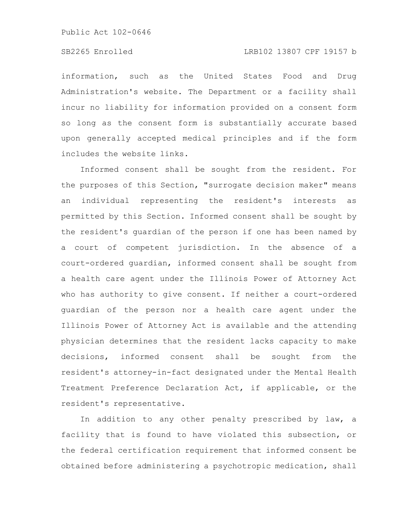## SB2265 Enrolled LRB102 13807 CPF 19157 b

information, such as the United States Food and Drug Administration's website. The Department or a facility shall incur no liability for information provided on a consent form so long as the consent form is substantially accurate based upon generally accepted medical principles and if the form includes the website links.

Informed consent shall be sought from the resident. For the purposes of this Section, "surrogate decision maker" means an individual representing the resident's interests as permitted by this Section. Informed consent shall be sought by the resident's guardian of the person if one has been named by a court of competent jurisdiction. In the absence of a court-ordered guardian, informed consent shall be sought from a health care agent under the Illinois Power of Attorney Act who has authority to give consent. If neither a court-ordered guardian of the person nor a health care agent under the Illinois Power of Attorney Act is available and the attending physician determines that the resident lacks capacity to make decisions, informed consent shall be sought from the resident's attorney-in-fact designated under the Mental Health Treatment Preference Declaration Act, if applicable, or the resident's representative.

In addition to any other penalty prescribed by law, a facility that is found to have violated this subsection, or the federal certification requirement that informed consent be obtained before administering a psychotropic medication, shall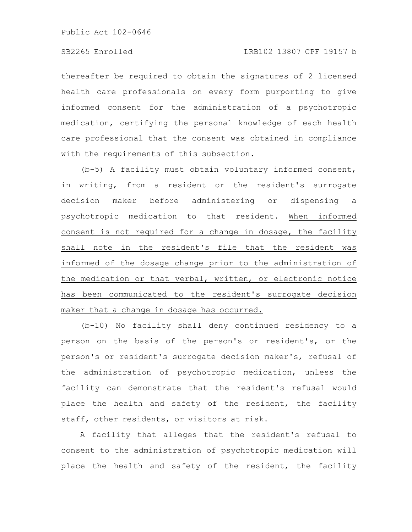## SB2265 Enrolled LRB102 13807 CPF 19157 b

thereafter be required to obtain the signatures of 2 licensed health care professionals on every form purporting to give informed consent for the administration of a psychotropic medication, certifying the personal knowledge of each health care professional that the consent was obtained in compliance with the requirements of this subsection.

(b-5) A facility must obtain voluntary informed consent, in writing, from a resident or the resident's surrogate decision maker before administering or dispensing a psychotropic medication to that resident. When informed consent is not required for a change in dosage, the facility shall note in the resident's file that the resident was informed of the dosage change prior to the administration of the medication or that verbal, written, or electronic notice has been communicated to the resident's surrogate decision maker that a change in dosage has occurred.

(b-10) No facility shall deny continued residency to a person on the basis of the person's or resident's, or the person's or resident's surrogate decision maker's, refusal of the administration of psychotropic medication, unless the facility can demonstrate that the resident's refusal would place the health and safety of the resident, the facility staff, other residents, or visitors at risk.

A facility that alleges that the resident's refusal to consent to the administration of psychotropic medication will place the health and safety of the resident, the facility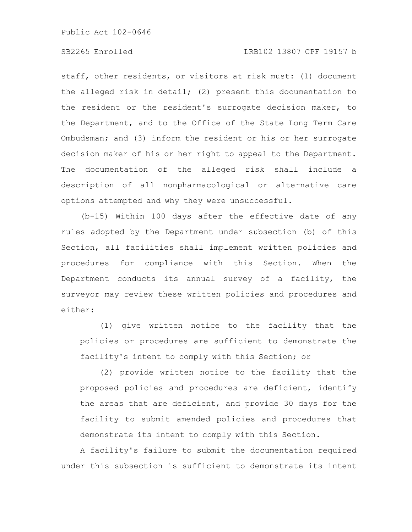## SB2265 Enrolled LRB102 13807 CPF 19157 b

staff, other residents, or visitors at risk must: (1) document the alleged risk in detail; (2) present this documentation to the resident or the resident's surrogate decision maker, to the Department, and to the Office of the State Long Term Care Ombudsman; and (3) inform the resident or his or her surrogate decision maker of his or her right to appeal to the Department. The documentation of the alleged risk shall include a description of all nonpharmacological or alternative care options attempted and why they were unsuccessful.

(b-15) Within 100 days after the effective date of any rules adopted by the Department under subsection (b) of this Section, all facilities shall implement written policies and procedures for compliance with this Section. When the Department conducts its annual survey of a facility, the surveyor may review these written policies and procedures and either:

(1) give written notice to the facility that the policies or procedures are sufficient to demonstrate the facility's intent to comply with this Section; or

(2) provide written notice to the facility that the proposed policies and procedures are deficient, identify the areas that are deficient, and provide 30 days for the facility to submit amended policies and procedures that demonstrate its intent to comply with this Section.

A facility's failure to submit the documentation required under this subsection is sufficient to demonstrate its intent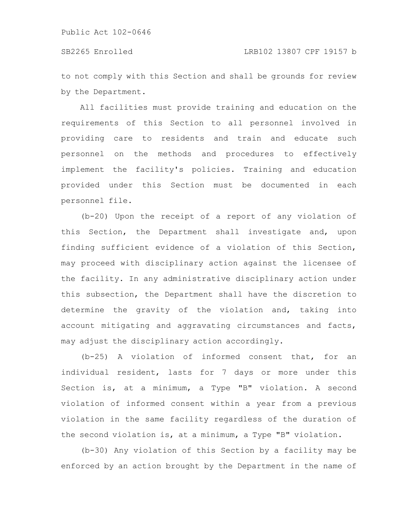to not comply with this Section and shall be grounds for review by the Department.

All facilities must provide training and education on the requirements of this Section to all personnel involved in providing care to residents and train and educate such personnel on the methods and procedures to effectively implement the facility's policies. Training and education provided under this Section must be documented in each personnel file.

(b-20) Upon the receipt of a report of any violation of this Section, the Department shall investigate and, upon finding sufficient evidence of a violation of this Section, may proceed with disciplinary action against the licensee of the facility. In any administrative disciplinary action under this subsection, the Department shall have the discretion to determine the gravity of the violation and, taking into account mitigating and aggravating circumstances and facts, may adjust the disciplinary action accordingly.

(b-25) A violation of informed consent that, for an individual resident, lasts for 7 days or more under this Section is, at a minimum, a Type "B" violation. A second violation of informed consent within a year from a previous violation in the same facility regardless of the duration of the second violation is, at a minimum, a Type "B" violation.

(b-30) Any violation of this Section by a facility may be enforced by an action brought by the Department in the name of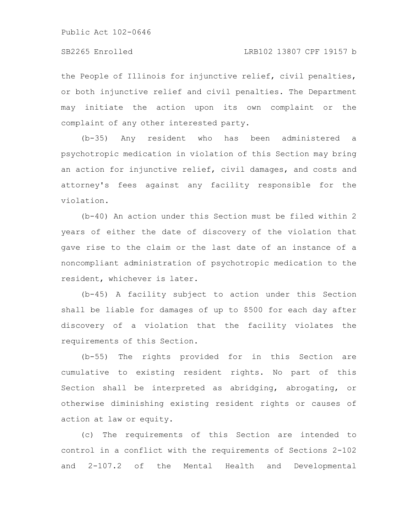the People of Illinois for injunctive relief, civil penalties, or both injunctive relief and civil penalties. The Department may initiate the action upon its own complaint or the complaint of any other interested party.

(b-35) Any resident who has been administered a psychotropic medication in violation of this Section may bring an action for injunctive relief, civil damages, and costs and attorney's fees against any facility responsible for the violation.

(b-40) An action under this Section must be filed within 2 years of either the date of discovery of the violation that gave rise to the claim or the last date of an instance of a noncompliant administration of psychotropic medication to the resident, whichever is later.

(b-45) A facility subject to action under this Section shall be liable for damages of up to \$500 for each day after discovery of a violation that the facility violates the requirements of this Section.

(b-55) The rights provided for in this Section are cumulative to existing resident rights. No part of this Section shall be interpreted as abridging, abrogating, or otherwise diminishing existing resident rights or causes of action at law or equity.

(c) The requirements of this Section are intended to control in a conflict with the requirements of Sections 2-102 and 2-107.2 of the Mental Health and Developmental